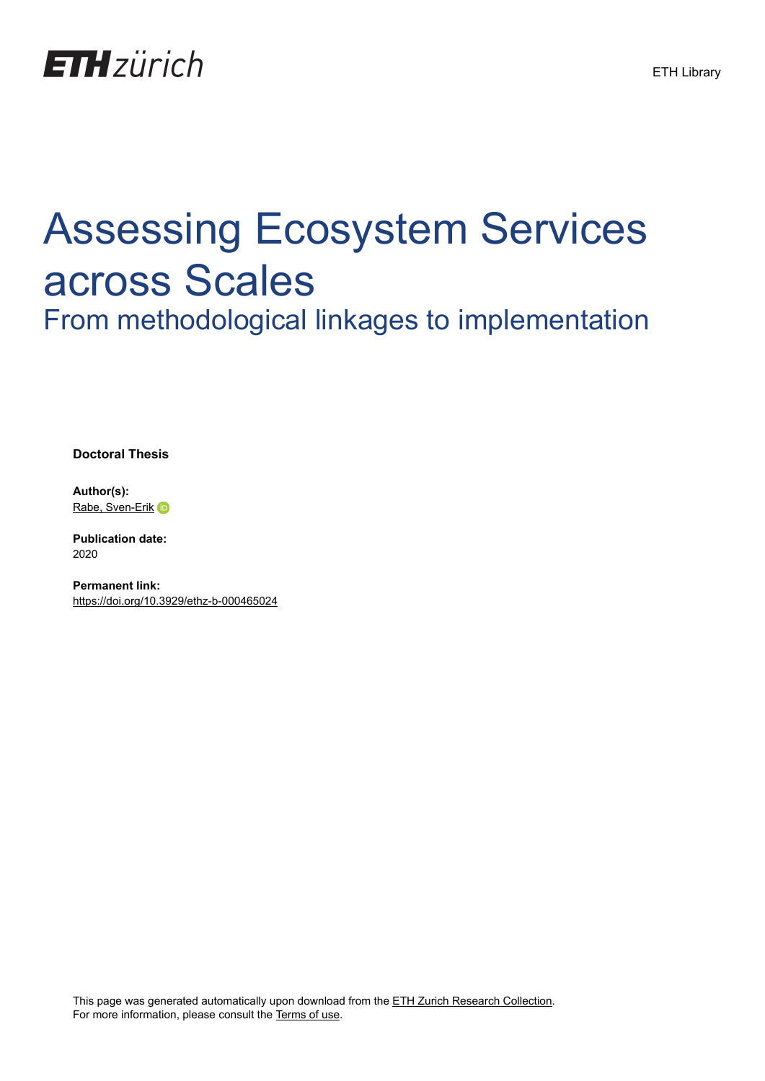

## Assessing Ecosystem Services across Scales

From methodological linkages to implementation

**Doctoral Thesis**

**Author(s):** [Rabe, Sven-Erik](https://orcid.org/0000-0002-7375-7739) iD

**Publication date:** 2020

**Permanent link:** <https://doi.org/10.3929/ethz-b-000465024>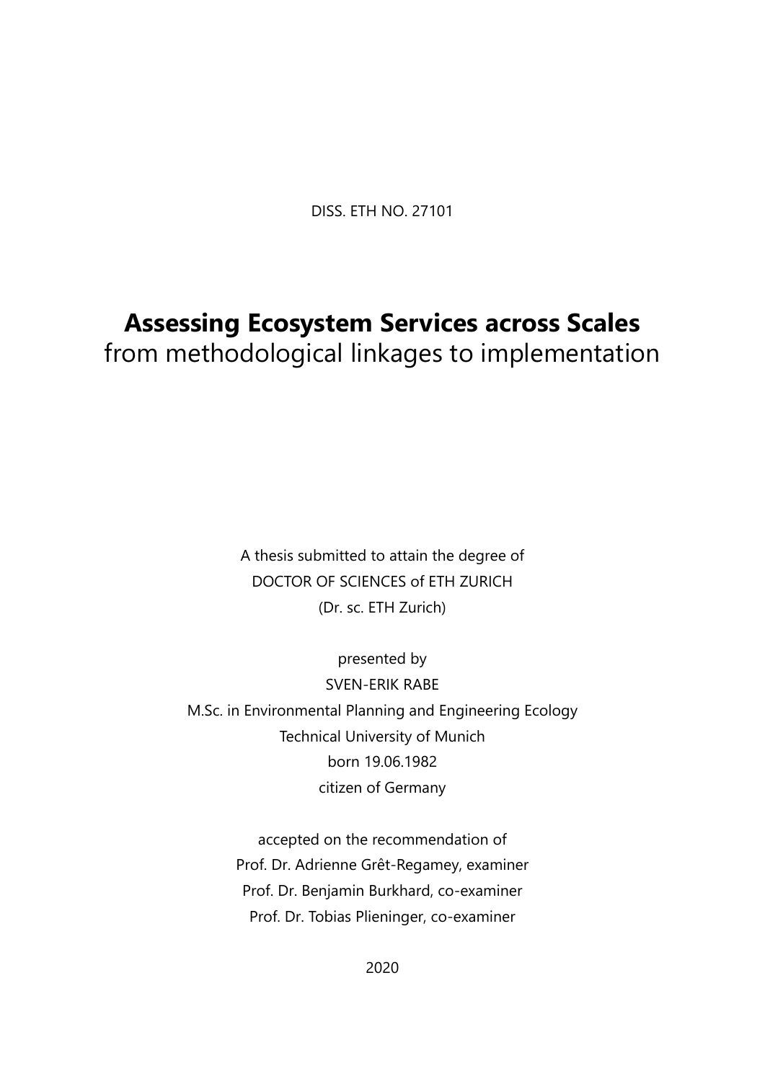DISS. ETH NO. 27101

## **Assessing Ecosystem Services across Scales**

from methodological linkages to implementation

A thesis submitted to attain the degree of DOCTOR OF SCIENCES of ETH ZURICH (Dr. sc. ETH Zurich)

presented by SVEN-ERIK RABE M.Sc. in Environmental Planning and Engineering Ecology Technical University of Munich born 19.06.1982 citizen of Germany

> accepted on the recommendation of Prof. Dr. Adrienne Grêt-Regamey, examiner Prof. Dr. Benjamin Burkhard, co-examiner Prof. Dr. Tobias Plieninger, co-examiner

> > 2020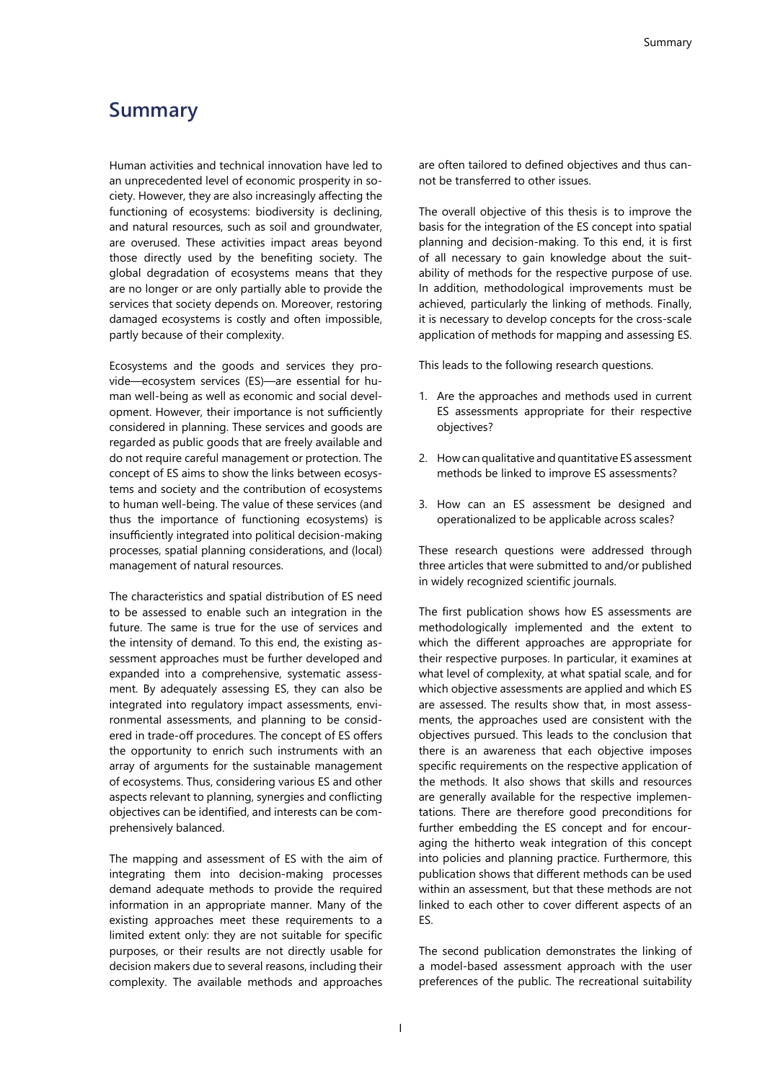## **Summary**

Human activities and technical innovation have led to an unprecedented level of economic prosperity in society. However, they are also increasingly affecting the functioning of ecosystems: biodiversity is declining, and natural resources, such as soil and groundwater, are overused. These activities impact areas beyond those directly used by the benefiting society. The global degradation of ecosystems means that they are no longer or are only partially able to provide the services that society depends on. Moreover, restoring damaged ecosystems is costly and often impossible, partly because of their complexity.

Ecosystems and the goods and services they provide—ecosystem services (ES)—are essential for human well-being as well as economic and social development. However, their importance is not sufficiently considered in planning. These services and goods are regarded as public goods that are freely available and do not require careful management or protection. The concept of ES aims to show the links between ecosystems and society and the contribution of ecosystems to human well-being. The value of these services (and thus the importance of functioning ecosystems) is insufficiently integrated into political decision-making processes, spatial planning considerations, and (local) management of natural resources.

The characteristics and spatial distribution of ES need to be assessed to enable such an integration in the future. The same is true for the use of services and the intensity of demand. To this end, the existing assessment approaches must be further developed and expanded into a comprehensive, systematic assessment. By adequately assessing ES, they can also be integrated into regulatory impact assessments, environmental assessments, and planning to be considered in trade-off procedures. The concept of ES offers the opportunity to enrich such instruments with an array of arguments for the sustainable management of ecosystems. Thus, considering various ES and other aspects relevant to planning, synergies and conflicting objectives can be identified, and interests can be comprehensively balanced.

The mapping and assessment of ES with the aim of integrating them into decision-making processes demand adequate methods to provide the required information in an appropriate manner. Many of the existing approaches meet these requirements to a limited extent only: they are not suitable for specific purposes, or their results are not directly usable for decision makers due to several reasons, including their complexity. The available methods and approaches

are often tailored to defined objectives and thus cannot be transferred to other issues.

The overall objective of this thesis is to improve the basis for the integration of the ES concept into spatial planning and decision-making. To this end, it is first of all necessary to gain knowledge about the suitability of methods for the respective purpose of use. In addition, methodological improvements must be achieved, particularly the linking of methods. Finally, it is necessary to develop concepts for the cross-scale application of methods for mapping and assessing ES.

This leads to the following research questions.

- 1. Are the approaches and methods used in current ES assessments appropriate for their respective objectives?
- 2. How can qualitative and quantitative ES assessment methods be linked to improve ES assessments?
- 3. How can an ES assessment be designed and operationalized to be applicable across scales?

These research questions were addressed through three articles that were submitted to and/or published in widely recognized scientific journals.

The first publication shows how ES assessments are methodologically implemented and the extent to which the different approaches are appropriate for their respective purposes. In particular, it examines at what level of complexity, at what spatial scale, and for which objective assessments are applied and which ES are assessed. The results show that, in most assessments, the approaches used are consistent with the objectives pursued. This leads to the conclusion that there is an awareness that each objective imposes specific requirements on the respective application of the methods. It also shows that skills and resources are generally available for the respective implementations. There are therefore good preconditions for further embedding the ES concept and for encouraging the hitherto weak integration of this concept into policies and planning practice. Furthermore, this publication shows that different methods can be used within an assessment, but that these methods are not linked to each other to cover different aspects of an ES.

The second publication demonstrates the linking of a model-based assessment approach with the user preferences of the public. The recreational suitability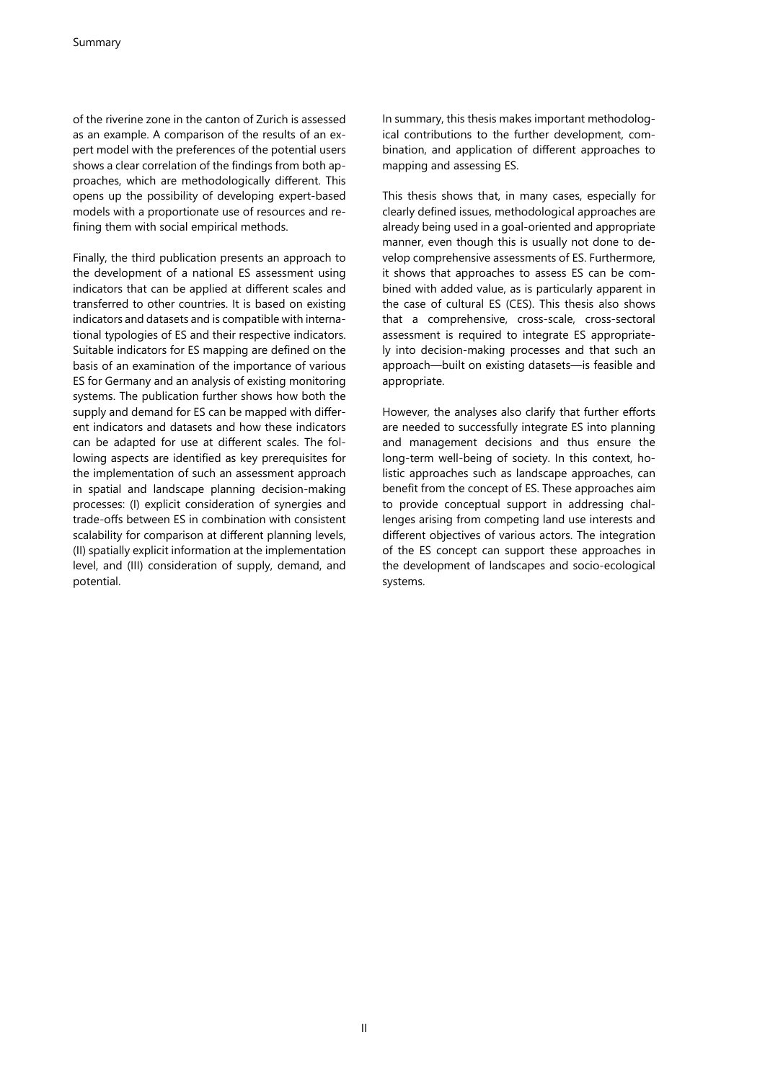of the riverine zone in the canton of Zurich is assessed as an example. A comparison of the results of an expert model with the preferences of the potential users shows a clear correlation of the findings from both approaches, which are methodologically different. This opens up the possibility of developing expert-based models with a proportionate use of resources and refining them with social empirical methods.

Finally, the third publication presents an approach to the development of a national ES assessment using indicators that can be applied at different scales and transferred to other countries. It is based on existing indicators and datasets and is compatible with international typologies of ES and their respective indicators. Suitable indicators for ES mapping are defined on the basis of an examination of the importance of various ES for Germany and an analysis of existing monitoring systems. The publication further shows how both the supply and demand for ES can be mapped with different indicators and datasets and how these indicators can be adapted for use at different scales. The following aspects are identified as key prerequisites for the implementation of such an assessment approach in spatial and landscape planning decision-making processes: (I) explicit consideration of synergies and trade-offs between ES in combination with consistent scalability for comparison at different planning levels, (II) spatially explicit information at the implementation level, and (III) consideration of supply, demand, and potential.

In summary, this thesis makes important methodological contributions to the further development, combination, and application of different approaches to mapping and assessing ES.

This thesis shows that, in many cases, especially for clearly defined issues, methodological approaches are already being used in a goal-oriented and appropriate manner, even though this is usually not done to develop comprehensive assessments of ES. Furthermore, it shows that approaches to assess ES can be combined with added value, as is particularly apparent in the case of cultural ES (CES). This thesis also shows that a comprehensive, cross-scale, cross-sectoral assessment is required to integrate ES appropriately into decision-making processes and that such an approach—built on existing datasets—is feasible and appropriate.

However, the analyses also clarify that further efforts are needed to successfully integrate ES into planning and management decisions and thus ensure the long-term well-being of society. In this context, holistic approaches such as landscape approaches, can benefit from the concept of ES. These approaches aim to provide conceptual support in addressing challenges arising from competing land use interests and different objectives of various actors. The integration of the ES concept can support these approaches in the development of landscapes and socio-ecological systems.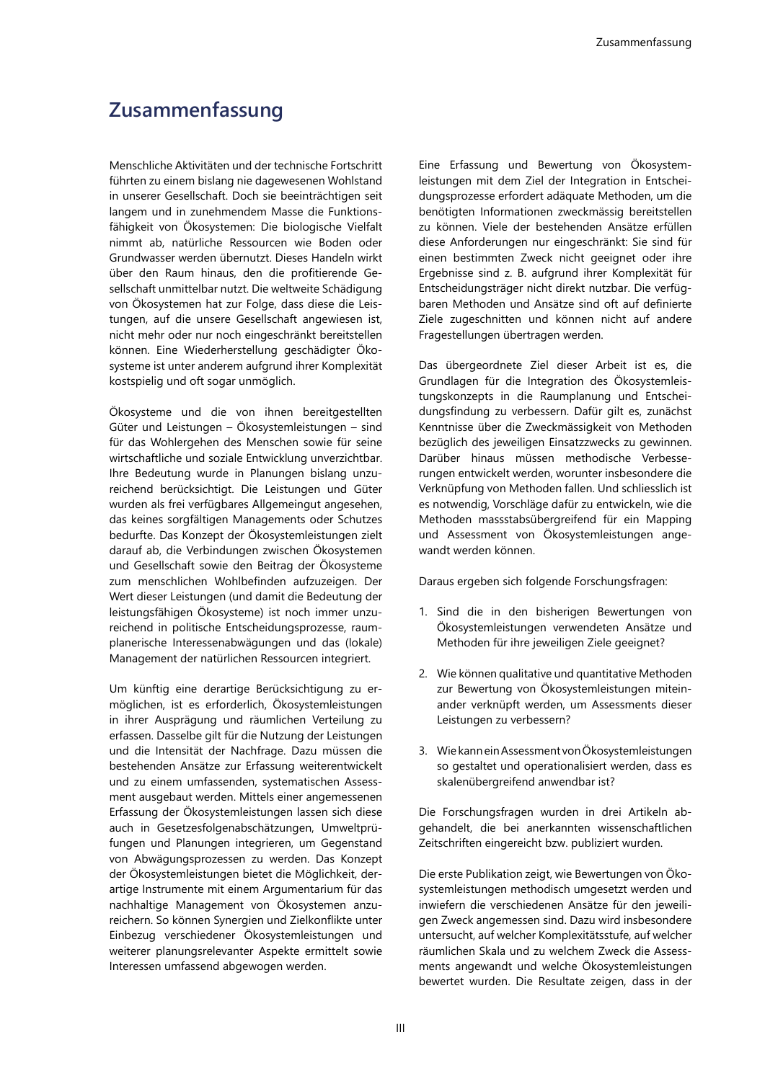## **Zusammenfassung**

Menschliche Aktivitäten und der technische Fortschritt führten zu einem bislang nie dagewesenen Wohlstand in unserer Gesellschaft. Doch sie beeinträchtigen seit langem und in zunehmendem Masse die Funktionsfähigkeit von Ökosystemen: Die biologische Vielfalt nimmt ab, natürliche Ressourcen wie Boden oder Grundwasser werden übernutzt. Dieses Handeln wirkt über den Raum hinaus, den die profitierende Gesellschaft unmittelbar nutzt. Die weltweite Schädigung von Ökosystemen hat zur Folge, dass diese die Leistungen, auf die unsere Gesellschaft angewiesen ist, nicht mehr oder nur noch eingeschränkt bereitstellen können. Eine Wiederherstellung geschädigter Ökosysteme ist unter anderem aufgrund ihrer Komplexität kostspielig und oft sogar unmöglich.

Ökosysteme und die von ihnen bereitgestellten Güter und Leistungen – Ökosystemleistungen – sind für das Wohlergehen des Menschen sowie für seine wirtschaftliche und soziale Entwicklung unverzichtbar. Ihre Bedeutung wurde in Planungen bislang unzureichend berücksichtigt. Die Leistungen und Güter wurden als frei verfügbares Allgemeingut angesehen, das keines sorgfältigen Managements oder Schutzes bedurfte. Das Konzept der Ökosystemleistungen zielt darauf ab, die Verbindungen zwischen Ökosystemen und Gesellschaft sowie den Beitrag der Ökosysteme zum menschlichen Wohlbefinden aufzuzeigen. Der Wert dieser Leistungen (und damit die Bedeutung der leistungsfähigen Ökosysteme) ist noch immer unzureichend in politische Entscheidungsprozesse, raumplanerische Interessenabwägungen und das (lokale) Management der natürlichen Ressourcen integriert.

Um künftig eine derartige Berücksichtigung zu ermöglichen, ist es erforderlich, Ökosystemleistungen in ihrer Ausprägung und räumlichen Verteilung zu erfassen. Dasselbe gilt für die Nutzung der Leistungen und die Intensität der Nachfrage. Dazu müssen die bestehenden Ansätze zur Erfassung weiterentwickelt und zu einem umfassenden, systematischen Assessment ausgebaut werden. Mittels einer angemessenen Erfassung der Ökosystemleistungen lassen sich diese auch in Gesetzesfolgenabschätzungen, Umweltprüfungen und Planungen integrieren, um Gegenstand von Abwägungsprozessen zu werden. Das Konzept der Ökosystemleistungen bietet die Möglichkeit, derartige Instrumente mit einem Argumentarium für das nachhaltige Management von Ökosystemen anzureichern. So können Synergien und Zielkonflikte unter Einbezug verschiedener Ökosystemleistungen und weiterer planungsrelevanter Aspekte ermittelt sowie Interessen umfassend abgewogen werden.

Eine Erfassung und Bewertung von Ökosystemleistungen mit dem Ziel der Integration in Entscheidungsprozesse erfordert adäquate Methoden, um die benötigten Informationen zweckmässig bereitstellen zu können. Viele der bestehenden Ansätze erfüllen diese Anforderungen nur eingeschränkt: Sie sind für einen bestimmten Zweck nicht geeignet oder ihre Ergebnisse sind z. B. aufgrund ihrer Komplexität für Entscheidungsträger nicht direkt nutzbar. Die verfügbaren Methoden und Ansätze sind oft auf definierte Ziele zugeschnitten und können nicht auf andere Fragestellungen übertragen werden.

Das übergeordnete Ziel dieser Arbeit ist es, die Grundlagen für die Integration des Ökosystemleistungskonzepts in die Raumplanung und Entscheidungsfindung zu verbessern. Dafür gilt es, zunächst Kenntnisse über die Zweckmässigkeit von Methoden bezüglich des jeweiligen Einsatzzwecks zu gewinnen. Darüber hinaus müssen methodische Verbesserungen entwickelt werden, worunter insbesondere die Verknüpfung von Methoden fallen. Und schliesslich ist es notwendig, Vorschläge dafür zu entwickeln, wie die Methoden massstabsübergreifend für ein Mapping und Assessment von Ökosystemleistungen angewandt werden können.

Daraus ergeben sich folgende Forschungsfragen:

- 1. Sind die in den bisherigen Bewertungen von Ökosystemleistungen verwendeten Ansätze und Methoden für ihre jeweiligen Ziele geeignet?
- 2. Wie können qualitative und quantitative Methoden zur Bewertung von Ökosystemleistungen miteinander verknüpft werden, um Assessments dieser Leistungen zu verbessern?
- 3. Wie kann ein Assessment von Ökosystemleistungen so gestaltet und operationalisiert werden, dass es skalenübergreifend anwendbar ist?

Die Forschungsfragen wurden in drei Artikeln abgehandelt, die bei anerkannten wissenschaftlichen Zeitschriften eingereicht bzw. publiziert wurden.

Die erste Publikation zeigt, wie Bewertungen von Ökosystemleistungen methodisch umgesetzt werden und inwiefern die verschiedenen Ansätze für den jeweiligen Zweck angemessen sind. Dazu wird insbesondere untersucht, auf welcher Komplexitätsstufe, auf welcher räumlichen Skala und zu welchem Zweck die Assessments angewandt und welche Ökosystemleistungen bewertet wurden. Die Resultate zeigen, dass in der